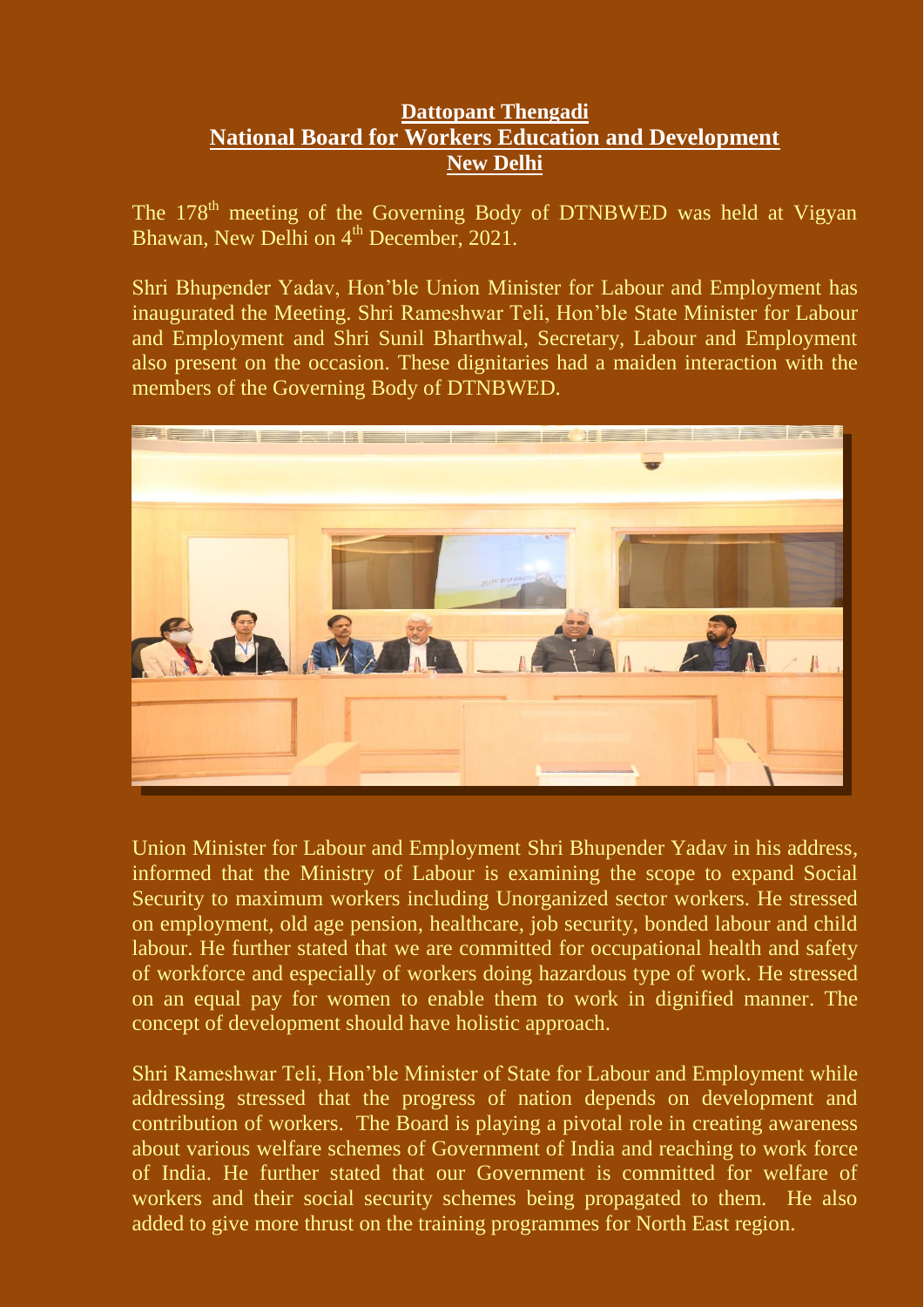## **Dattopant Thengadi National Board for Workers Education and Development New Delhi**

The 178<sup>th</sup> meeting of the Governing Body of DTNBWED was held at Vigyan Bhawan, New Delhi on 4<sup>th</sup> December, 2021.

Shri Bhupender Yadav, Hon'ble Union Minister for Labour and Employment has inaugurated the Meeting. Shri Rameshwar Teli, Hon'ble State Minister for Labour and Employment and Shri Sunil Bharthwal, Secretary, Labour and Employment also present on the occasion. These dignitaries had a maiden interaction with the members of the Governing Body of DTNBWED.



Union Minister for Labour and Employment Shri Bhupender Yadav in his address, informed that the Ministry of Labour is examining the scope to expand Social Security to maximum workers including Unorganized sector workers. He stressed on employment, old age pension, healthcare, job security, bonded labour and child labour. He further stated that we are committed for occupational health and safety of workforce and especially of workers doing hazardous type of work. He stressed on an equal pay for women to enable them to work in dignified manner. The concept of development should have holistic approach.

Shri Rameshwar Teli, Hon'ble Minister of State for Labour and Employment while addressing stressed that the progress of nation depends on development and contribution of workers. The Board is playing a pivotal role in creating awareness about various welfare schemes of Government of India and reaching to work force of India. He further stated that our Government is committed for welfare of workers and their social security schemes being propagated to them. He also added to give more thrust on the training programmes for North East region.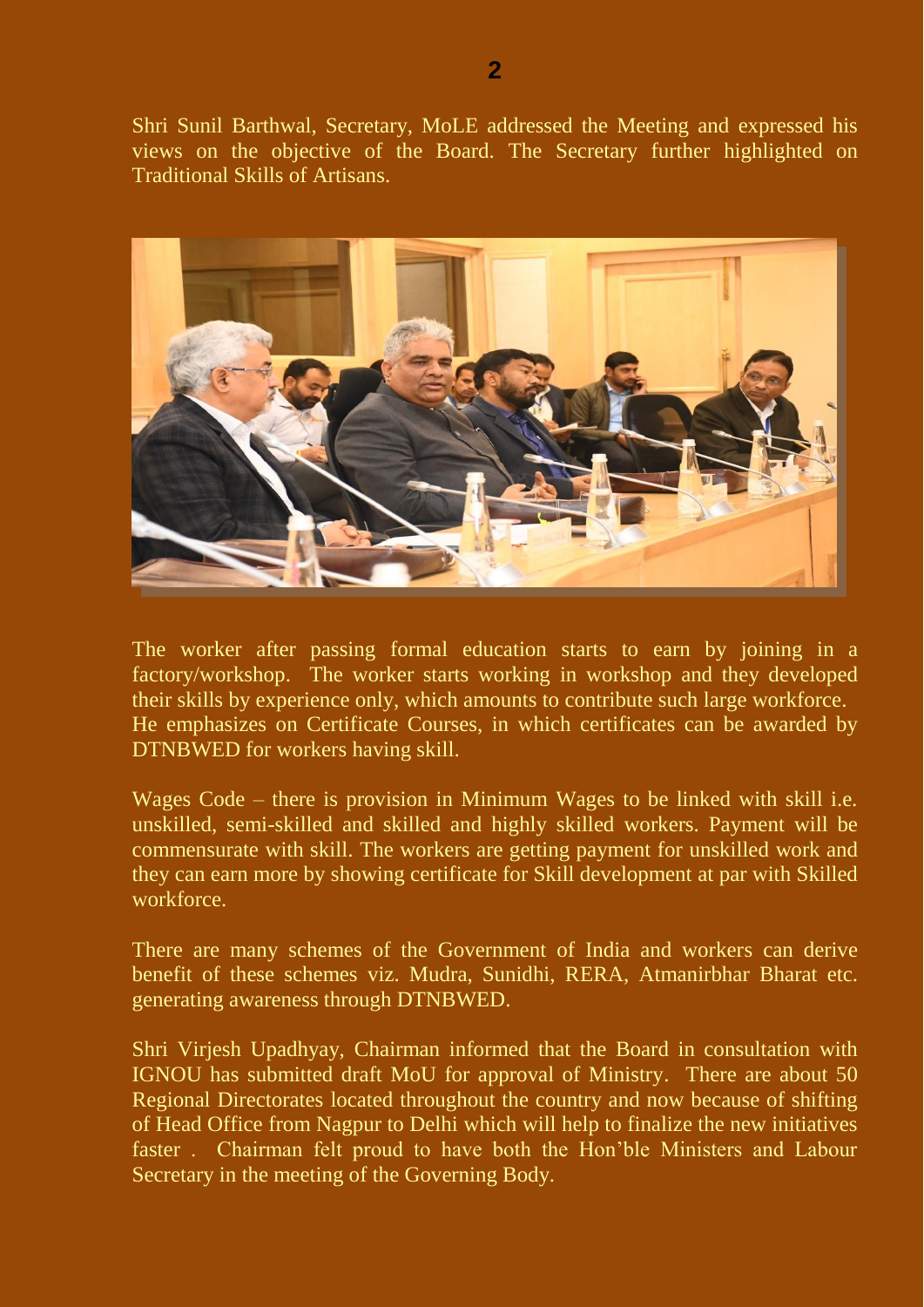Shri Sunil Barthwal, Secretary, MoLE addressed the Meeting and expressed his views on the objective of the Board. The Secretary further highlighted on Traditional Skills of Artisans.



The worker after passing formal education starts to earn by joining in a factory/workshop. The worker starts working in workshop and they developed their skills by experience only, which amounts to contribute such large workforce. He emphasizes on Certificate Courses, in which certificates can be awarded by DTNBWED for workers having skill.

Wages Code – there is provision in Minimum Wages to be linked with skill i.e. unskilled, semi-skilled and skilled and highly skilled workers. Payment will be commensurate with skill. The workers are getting payment for unskilled work and they can earn more by showing certificate for Skill development at par with Skilled workforce.

There are many schemes of the Government of India and workers can derive benefit of these schemes viz. Mudra, Sunidhi, RERA, Atmanirbhar Bharat etc. generating awareness through DTNBWED.

Shri Virjesh Upadhyay, Chairman informed that the Board in consultation with IGNOU has submitted draft MoU for approval of Ministry. There are about 50 Regional Directorates located throughout the country and now because of shifting of Head Office from Nagpur to Delhi which will help to finalize the new initiatives faster . Chairman felt proud to have both the Hon'ble Ministers and Labour Secretary in the meeting of the Governing Body.